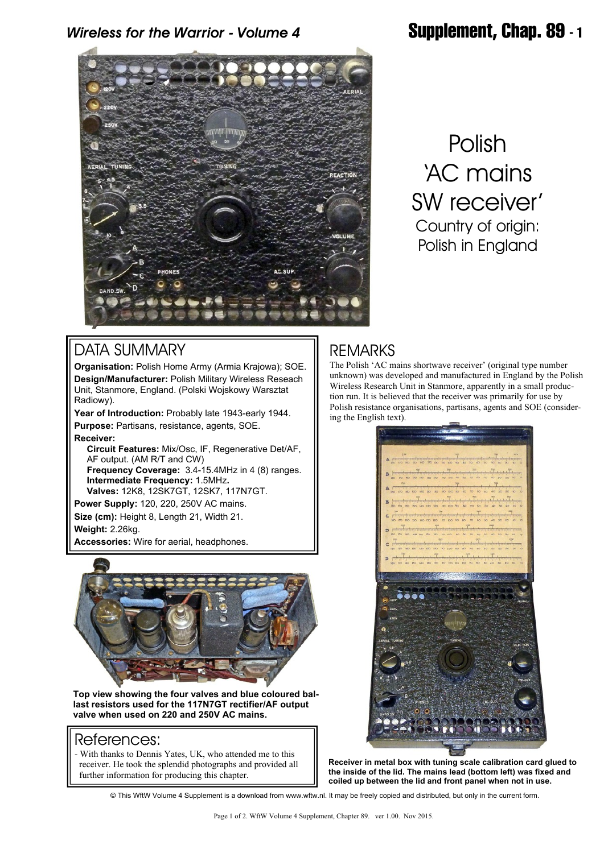# *Wireless for the Warrior - Volume 4* **Supplement, Chap. 89 - 1**



Polish 'AC mains SW receiver' Country of origin: Polish in England

### DATA SUMMARY

**Organisation:** Polish Home Army (Armia Krajowa); SOE. **Design/Manufacturer:** Polish Military Wireless Reseach Unit, Stanmore, England. (Polski Wojskowy Warsztat Radiowy).

**Year of Introduction:** Probably late 1943-early 1944. **Purpose:** Partisans, resistance, agents, SOE. **Receiver:**

 **Circuit Features:** Mix/Osc, IF, Regenerative Det/AF, AF output. (AM R/T and CW)  **Frequency Coverage:** 3.4-15.4MHz in 4 (8) ranges.  **Intermediate Frequency:** 1.5MHz**. Valves:** 12K8, 12SK7GT, 12SK7, 117N7GT.

**Power Supply:** 120, 220, 250V AC mains. **Size (cm):** Height 8, Length 21, Width 21. **Weight:** 2.26kg.

**Accessories:** Wire for aerial, headphones.



**Top view showing the four valves and blue coloured ballast resistors used for the 117N7GT rectifier/AF output valve when used on 220 and 250V AC mains.**

#### References:

- With thanks to Dennis Yates, UK, who attended me to this receiver. He took the splendid photographs and provided all further information for producing this chapter.

### **REMARKS**

The Polish 'AC mains shortwave receiver' (original type number unknown) was developed and manufactured in England by the Polish Wireless Research Unit in Stanmore, apparently in a small production run. It is believed that the receiver was primarily for use by Polish resistance organisations, partisans, agents and SOE (considering the English text).



**Receiver in metal box with tuning scale calibration card glued to the inside of the lid. The mains lead (bottom left) was fixed and coiled up between the lid and front panel when not in use.**

© This WftW Volume 4 Supplement is a download from www.wftw.nl. It may be freely copied and distributed, but only in the current form.